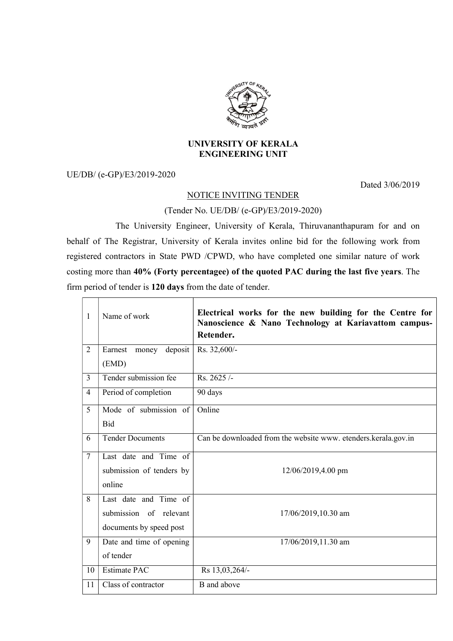

## UNIVERSITY OF KERALA ENGINEERING UNIT

UE/DB/ (e-GP)/E3/2019-2020

Dated 3/06/2019

## NOTICE INVITING TENDER

(Tender No. UE/DB/ (e-GP)/E3/2019-2020)

 The University Engineer, University of Kerala, Thiruvananthapuram for and on behalf of The Registrar, University of Kerala invites online bid for the following work from registered contractors in State PWD /CPWD, who have completed one similar nature of work costing more than 40% (Forty percentagee) of the quoted PAC during the last five years. The firm period of tender is 120 days from the date of tender.

| 1              | Name of work                | Electrical works for the new building for the Centre for<br>Nanoscience & Nano Technology at Kariavattom campus-<br>Retender. |
|----------------|-----------------------------|-------------------------------------------------------------------------------------------------------------------------------|
| $\overline{2}$ | Earnest<br>deposit<br>money | Rs. 32,600/-                                                                                                                  |
|                | (EMD)                       |                                                                                                                               |
| $\overline{3}$ | Tender submission fee       | Rs. 2625/-                                                                                                                    |
| $\overline{4}$ | Period of completion        | 90 days                                                                                                                       |
| 5              | Mode of submission of       | Online                                                                                                                        |
|                | Bid                         |                                                                                                                               |
| 6              | <b>Tender Documents</b>     | Can be downloaded from the website www. etenders.kerala.gov.in                                                                |
| $\overline{7}$ | Last date and Time of       |                                                                                                                               |
|                | submission of tenders by    | 12/06/2019,4.00 pm                                                                                                            |
|                | online                      |                                                                                                                               |
| 8              | Last date and Time of       |                                                                                                                               |
|                | submission of relevant      | 17/06/2019,10.30 am                                                                                                           |
|                | documents by speed post     |                                                                                                                               |
| 9              | Date and time of opening    | 17/06/2019,11.30 am                                                                                                           |
|                | of tender                   |                                                                                                                               |
| 10             | <b>Estimate PAC</b>         | Rs 13,03,264/-                                                                                                                |
| 11             | Class of contractor         | B and above                                                                                                                   |